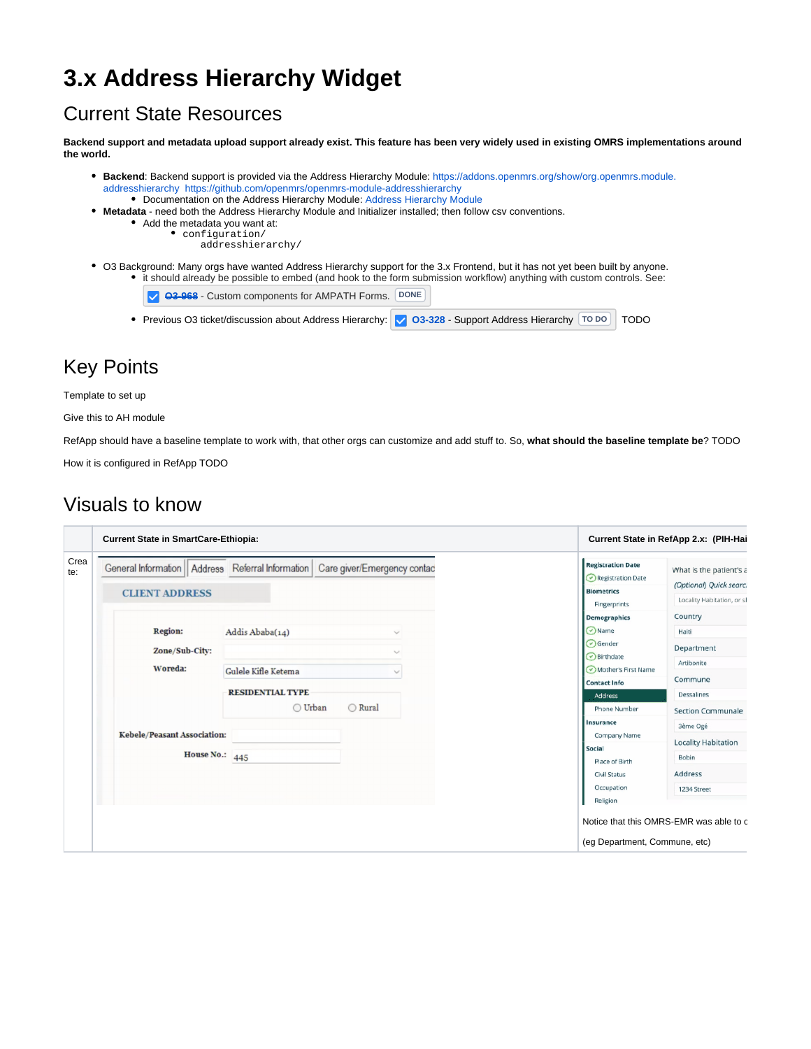# **3.x Address Hierarchy Widget**

### Current State Resources

**Backend support and metadata upload support already exist. This feature has been very widely used in existing OMRS implementations around the world.** 

- **Backend**: Backend support is provided via the Address Hierarchy Module: [https://addons.openmrs.org/show/org.openmrs.module.](https://addons.openmrs.org/show/org.openmrs.module.addresshierarchy) [addresshierarchy](https://addons.openmrs.org/show/org.openmrs.module.addresshierarchy) <https://github.com/openmrs/openmrs-module-addresshierarchy> Documentation on the Address Hierarchy Module: [Address Hierarchy Module](https://wiki.openmrs.org/display/docs/Address+Hierarchy+Module)
- **Metadata** need both the Address Hierarchy Module and Initializer installed; then follow csv conventions.
	- Add the metadata you want at:
		- $\bullet$  configuration/
			- addresshierarchy/
- O3 Background: Many orgs have wanted Address Hierarchy support for the 3.x Frontend, but it has not yet been built by anyone. it should already be possible to embed (and hook to the form submission workflow) anything with custom controls. See:

| ◯ <del>03-968</del> - Custom components for AMPATH Forms. DONE                                            |  |  |
|-----------------------------------------------------------------------------------------------------------|--|--|
| • Previous O3 ticket/discussion about Address Hierarchy: 0 03-328 - Support Address Hierarchy [TODO] TODO |  |  |

## Key Points

Template to set up

Give this to AH module

RefApp should have a baseline template to work with, that other orgs can customize and add stuff to. So, **what should the baseline template be**? TODO

How it is configured in RefApp TODO

### Visuals to know

|             | <b>Current State in SmartCare-Ethiopia:</b>                                    |                                        |                              |                                                                                                                                                                 | Current State in RefApp 2.x: (PIH-Hai                                                                                      |
|-------------|--------------------------------------------------------------------------------|----------------------------------------|------------------------------|-----------------------------------------------------------------------------------------------------------------------------------------------------------------|----------------------------------------------------------------------------------------------------------------------------|
| Crea<br>te: | General Information    Address Referral Information  <br><b>CLIENT ADDRESS</b> |                                        | Care giver/Emergency contac  | <b>Registration Date</b><br>Registration Date<br><b>Biometrics</b><br>Fingerprints                                                                              | What is the patient's a<br>(Optional) Quick searci<br>Locality Habitation, or sl                                           |
|             | <b>Region:</b><br>Zone/Sub-City:<br>Woreda:                                    | Addis Ababa(14)<br>Gulele Kifle Ketema | $\checkmark$<br>$\checkmark$ | Demographics<br>Name<br>Gender<br>$\odot$ Birthdate<br>Mother's First Name                                                                                      | Country<br>Haiti<br>Department<br>Artibonite<br>Commune                                                                    |
|             | Kebele/Peasant Association:<br><b>House No.: 445</b>                           | <b>RESIDENTIAL TYPE</b><br>◯ Urban     | ◯ Rural                      | <b>Contact Info</b><br><b>Address</b><br>Phone Number<br>Insurance<br>Company Name<br>Social<br>Place of Birth<br><b>Civil Status</b><br>Occupation<br>Religion | <b>Dessalines</b><br><b>Section Communale</b><br>3ème Ogé<br><b>Locality Habitation</b><br>Bobin<br>Address<br>1234 Street |
|             |                                                                                |                                        |                              | (eg Department, Commune, etc)                                                                                                                                   | Notice that this OMRS-EMR was able to c                                                                                    |